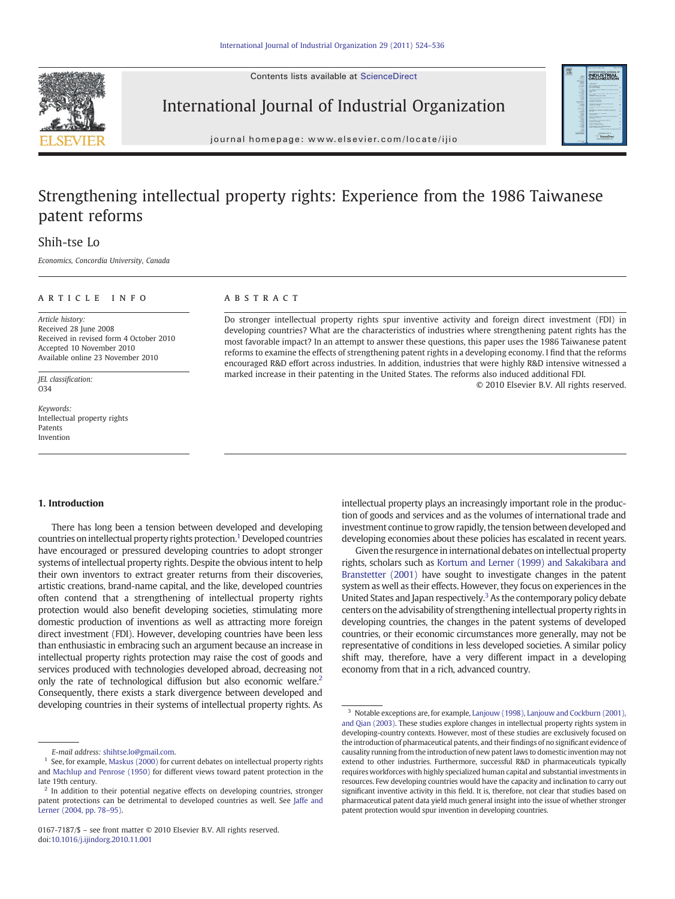Contents lists available at ScienceDirect



## International Journal of Industrial Organization



journal homepage: www.elsevier.com/locate/ijio

## Strengthening intellectual property rights: Experience from the 1986 Taiwanese patent reforms

### Shih-tse Lo

Economics, Concordia University, Canada

### article info abstract

Article history: Received 28 June 2008 Received in revised form 4 October 2010 Accepted 10 November 2010 Available online 23 November 2010

JEL classification:  $034$ 

Keywords: Intellectual property rights Patents Invention

Do stronger intellectual property rights spur inventive activity and foreign direct investment (FDI) in developing countries? What are the characteristics of industries where strengthening patent rights has the most favorable impact? In an attempt to answer these questions, this paper uses the 1986 Taiwanese patent reforms to examine the effects of strengthening patent rights in a developing economy. I find that the reforms encouraged R&D effort across industries. In addition, industries that were highly R&D intensive witnessed a marked increase in their patenting in the United States. The reforms also induced additional FDI.

© 2010 Elsevier B.V. All rights reserved.

### 1. Introduction

There has long been a tension between developed and developing countries on intellectual property rights protection.<sup>1</sup> Developed countries have encouraged or pressured developing countries to adopt stronger systems of intellectual property rights. Despite the obvious intent to help their own inventors to extract greater returns from their discoveries, artistic creations, brand-name capital, and the like, developed countries often contend that a strengthening of intellectual property rights protection would also benefit developing societies, stimulating more domestic production of inventions as well as attracting more foreign direct investment (FDI). However, developing countries have been less than enthusiastic in embracing such an argument because an increase in intellectual property rights protection may raise the cost of goods and services produced with technologies developed abroad, decreasing not only the rate of technological diffusion but also economic welfare.<sup>2</sup> Consequently, there exists a stark divergence between developed and developing countries in their systems of intellectual property rights. As

intellectual property plays an increasingly important role in the production of goods and services and as the volumes of international trade and investment continue to grow rapidly, the tension between developed and developing economies about these policies has escalated in recent years.

Given the resurgence in international debates on intellectual property rights, scholars such as [Kortum and Lerner \(1999\) and Sakakibara and](#page--1-0) [Branstetter \(2001\)](#page--1-0) have sought to investigate changes in the patent system as well as their effects. However, they focus on experiences in the United States and Japan respectively.<sup>3</sup> As the contemporary policy debate centers on the advisability of strengthening intellectual property rights in developing countries, the changes in the patent systems of developed countries, or their economic circumstances more generally, may not be representative of conditions in less developed societies. A similar policy shift may, therefore, have a very different impact in a developing economy from that in a rich, advanced country.

E-mail address: [shihtse.lo@gmail.com.](mailto:shihtse.lo@gmail.com)

<sup>1</sup> See, for example, [Maskus \(2000\)](#page--1-0) for current debates on intellectual property rights and [Machlup and Penrose \(1950\)](#page--1-0) for different views toward patent protection in the late 19th century.

<sup>&</sup>lt;sup>2</sup> In addition to their potential negative effects on developing countries, stronger patent protections can be detrimental to developed countries as well. See [Jaffe and](#page--1-0) [Lerner \(2004, pp. 78](#page--1-0)–95).

<sup>&</sup>lt;sup>3</sup> Notable exceptions are, for example, [Lanjouw \(1998\), Lanjouw and Cockburn \(2001\),](#page--1-0) [and Qian \(2003\).](#page--1-0) These studies explore changes in intellectual property rights system in developing-country contexts. However, most of these studies are exclusively focused on the introduction of pharmaceutical patents, and their findings of no significant evidence of causality running from the introduction of new patent laws to domestic invention may not extend to other industries. Furthermore, successful R&D in pharmaceuticals typically requires workforces with highly specialized human capital and substantial investments in resources. Few developing countries would have the capacity and inclination to carry out significant inventive activity in this field. It is, therefore, not clear that studies based on pharmaceutical patent data yield much general insight into the issue of whether stronger patent protection would spur invention in developing countries.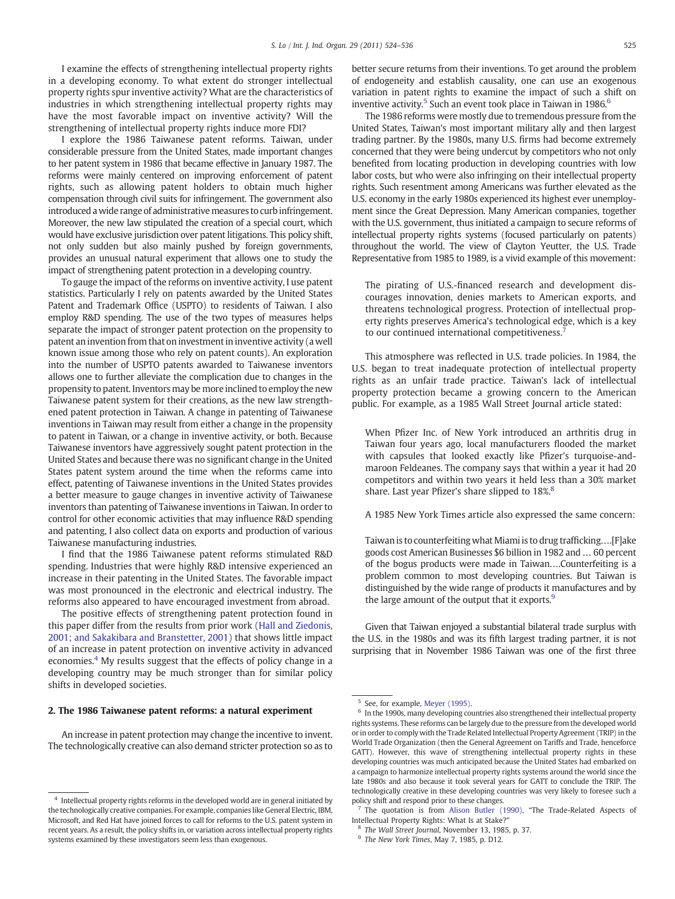I examine the effects of strengthening intellectual property rights in a developing economy. To what extent do stronger intellectual property rights spur inventive activity? What are the characteristics of industries in which strengthening intellectual property rights may have the most favorable impact on inventive activity? Will the strengthening of intellectual property rights induce more FDI?

I explore the 1986 Taiwanese patent reforms. Taiwan, under considerable pressure from the United States, made important changes to her patent system in 1986 that became effective in January 1987. The reforms were mainly centered on improving enforcement of patent rights, such as allowing patent holders to obtain much higher compensation through civil suits for infringement. The government also introduced a wide range of administrative measures to curb infringement. Moreover, the new law stipulated the creation of a special court, which would have exclusive jurisdiction over patent litigations. This policy shift, not only sudden but also mainly pushed by foreign governments, provides an unusual natural experiment that allows one to study the impact of strengthening patent protection in a developing country.

To gauge the impact of the reforms on inventive activity, I use patent statistics. Particularly I rely on patents awarded by the United States Patent and Trademark Office (USPTO) to residents of Taiwan. I also employ R&D spending. The use of the two types of measures helps separate the impact of stronger patent protection on the propensity to patent an invention from that on investment in inventive activity (a well known issue among those who rely on patent counts). An exploration into the number of USPTO patents awarded to Taiwanese inventors allows one to further alleviate the complication due to changes in the propensity to patent. Inventors may be more inclined to employ the new Taiwanese patent system for their creations, as the new law strengthened patent protection in Taiwan. A change in patenting of Taiwanese inventions in Taiwan may result from either a change in the propensity to patent in Taiwan, or a change in inventive activity, or both. Because Taiwanese inventors have aggressively sought patent protection in the United States and because there was no significant change in the United States patent system around the time when the reforms came into effect, patenting of Taiwanese inventions in the United States provides a better measure to gauge changes in inventive activity of Taiwanese inventors than patenting of Taiwanese inventions in Taiwan. In order to control for other economic activities that may influence R&D spending and patenting, I also collect data on exports and production of various Taiwanese manufacturing industries.

I find that the 1986 Taiwanese patent reforms stimulated R&D spending. Industries that were highly R&D intensive experienced an increase in their patenting in the United States. The favorable impact was most pronounced in the electronic and electrical industry. The reforms also appeared to have encouraged investment from abroad.

The positive effects of strengthening patent protection found in this paper differ from the results from prior work [\(Hall and Ziedonis,](#page--1-0) [2001; and Sakakibara and Branstetter, 2001\)](#page--1-0) that shows little impact of an increase in patent protection on inventive activity in advanced economies.<sup>4</sup> My results suggest that the effects of policy change in a developing country may be much stronger than for similar policy shifts in developed societies.

### 2. The 1986 Taiwanese patent reforms: a natural experiment

An increase in patent protection may change the incentive to invent. The technologically creative can also demand stricter protection so as to better secure returns from their inventions. To get around the problem of endogeneity and establish causality, one can use an exogenous variation in patent rights to examine the impact of such a shift on inventive activity.<sup>5</sup> Such an event took place in Taiwan in 1986.<sup>6</sup>

The 1986 reforms were mostly due to tremendous pressure from the United States, Taiwan's most important military ally and then largest trading partner. By the 1980s, many U.S. firms had become extremely concerned that they were being undercut by competitors who not only benefited from locating production in developing countries with low labor costs, but who were also infringing on their intellectual property rights. Such resentment among Americans was further elevated as the U.S. economy in the early 1980s experienced its highest ever unemployment since the Great Depression. Many American companies, together with the U.S. government, thus initiated a campaign to secure reforms of intellectual property rights systems (focused particularly on patents) throughout the world. The view of Clayton Yeutter, the U.S. Trade Representative from 1985 to 1989, is a vivid example of this movement:

The pirating of U.S.-financed research and development discourages innovation, denies markets to American exports, and threatens technological progress. Protection of intellectual property rights preserves America's technological edge, which is a key to our continued international competitiveness.

This atmosphere was reflected in U.S. trade policies. In 1984, the U.S. began to treat inadequate protection of intellectual property rights as an unfair trade practice. Taiwan's lack of intellectual property protection became a growing concern to the American public. For example, as a 1985 Wall Street Journal article stated:

When Pfizer Inc. of New York introduced an arthritis drug in Taiwan four years ago, local manufacturers flooded the market with capsules that looked exactly like Pfizer's turquoise-andmaroon Feldeanes. The company says that within a year it had 20 competitors and within two years it held less than a 30% market share. Last year Pfizer's share slipped to 18%.<sup>8</sup>

A 1985 New York Times article also expressed the same concern:

Taiwanis to counterfeiting what Miami is to drug trafficking….[F]ake goods cost American Businesses \$6 billion in 1982 and … 60 percent of the bogus products were made in Taiwan….Counterfeiting is a problem common to most developing countries. But Taiwan is distinguished by the wide range of products it manufactures and by the large amount of the output that it exports.<sup>9</sup>

Given that Taiwan enjoyed a substantial bilateral trade surplus with the U.S. in the 1980s and was its fifth largest trading partner, it is not surprising that in November 1986 Taiwan was one of the first three

 $4$  Intellectual property rights reforms in the developed world are in general initiated by the technologically creative companies. For example, companies like General Electric, IBM, Microsoft, and Red Hat have joined forces to call for reforms to the U.S. patent system in recent years. As a result, the policy shifts in, or variation across intellectual property rights systems examined by these investigators seem less than exogenous.

 $5$  See, for example, [Meyer \(1995\)](#page--1-0).

In the 1990s, many developing countries also strengthened their intellectual property rights systems. These reforms can be largely due to the pressure from the developed world or in order to comply with the Trade Related Intellectual Property Agreement (TRIP) in the World Trade Organization (then the General Agreement on Tariffs and Trade, henceforce GATT). However, this wave of strengthening intellectual property rights in these developing countries was much anticipated because the United States had embarked on a campaign to harmonize intellectual property rights systems around the world since the late 1980s and also because it took several years for GATT to conclude the TRIP. The technologically creative in these developing countries was very likely to foresee such a policy shift and respond prior to these changes.

<sup>7</sup> The quotation is from [Alison Butler \(1990\)](#page--1-0), "The Trade-Related Aspects of Intellectual Property Rights: What Is at Stake?"

<sup>8</sup> The Wall Street Journal, November 13, 1985, p. 37.

<sup>9</sup> The New York Times, May 7, 1985, p. D12.